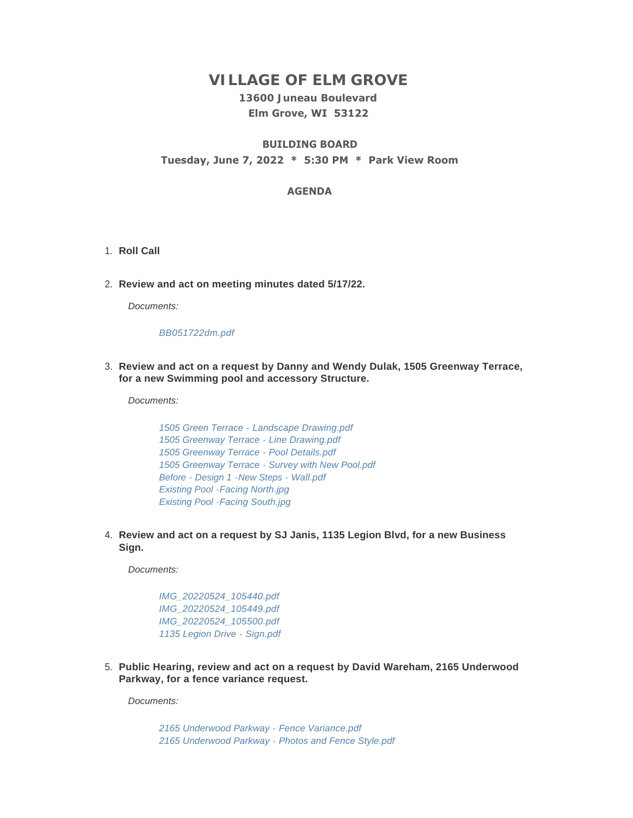# **VILLAGE OF ELM GROVE**

## **13600 Juneau Boulevard Elm Grove, WI 53122**

## **BUILDING BOARD Tuesday, June 7, 2022 \* 5:30 PM \* Park View Room**

#### **AGENDA**

- 1. Roll Call
- **Review and act on meeting minutes dated 5/17/22.** 2.

*Documents:*

#### *[BB051722dm.pdf](https://elmgrovewi.org/AgendaCenter/ViewFile/Item/11991?fileID=19214)*

**Review and act on a request by Danny and Wendy Dulak, 1505 Greenway Terrace,**  3. **for a new Swimming pool and accessory Structure.** 

*Documents:*

*[1505 Green Terrace - Landscape Drawing.pdf](https://elmgrovewi.org/AgendaCenter/ViewFile/Item/11992?fileID=19215) [1505 Greenway Terrace - Line Drawing.pdf](https://elmgrovewi.org/AgendaCenter/ViewFile/Item/11992?fileID=19216) [1505 Greenway Terrace - Pool Details.pdf](https://elmgrovewi.org/AgendaCenter/ViewFile/Item/11992?fileID=19217) [1505 Greenway Terrace - Survey with New Pool.pdf](https://elmgrovewi.org/AgendaCenter/ViewFile/Item/11992?fileID=19218) [Before - Design 1 -New Steps - Wall.pdf](https://elmgrovewi.org/AgendaCenter/ViewFile/Item/11992?fileID=19219) [Existing Pool -Facing North.jpg](https://elmgrovewi.org/AgendaCenter/ViewFile/Item/11992?fileID=19220) [Existing Pool -Facing South.jpg](https://elmgrovewi.org/AgendaCenter/ViewFile/Item/11992?fileID=19221)*

**Review and act on a request by SJ Janis, 1135 Legion Blvd, for a new Business**  4. **Sign.** 

*Documents:*

*[IMG\\_20220524\\_105440.pdf](https://elmgrovewi.org/AgendaCenter/ViewFile/Item/11993?fileID=19222) [IMG\\_20220524\\_105449.pdf](https://elmgrovewi.org/AgendaCenter/ViewFile/Item/11993?fileID=19223) [IMG\\_20220524\\_105500.pdf](https://elmgrovewi.org/AgendaCenter/ViewFile/Item/11993?fileID=19224) [1135 Legion Drive - Sign.pdf](https://elmgrovewi.org/AgendaCenter/ViewFile/Item/11993?fileID=19225)*

**Public Hearing, review and act on a request by David Wareham, 2165 Underwood**  5. **Parkway, for a fence variance request.** 

*Documents:*

*[2165 Underwood Parkway - Fence Variance.pdf](https://elmgrovewi.org/AgendaCenter/ViewFile/Item/11994?fileID=19226) [2165 Underwood Parkway - Photos and Fence Style.pdf](https://elmgrovewi.org/AgendaCenter/ViewFile/Item/11994?fileID=19227)*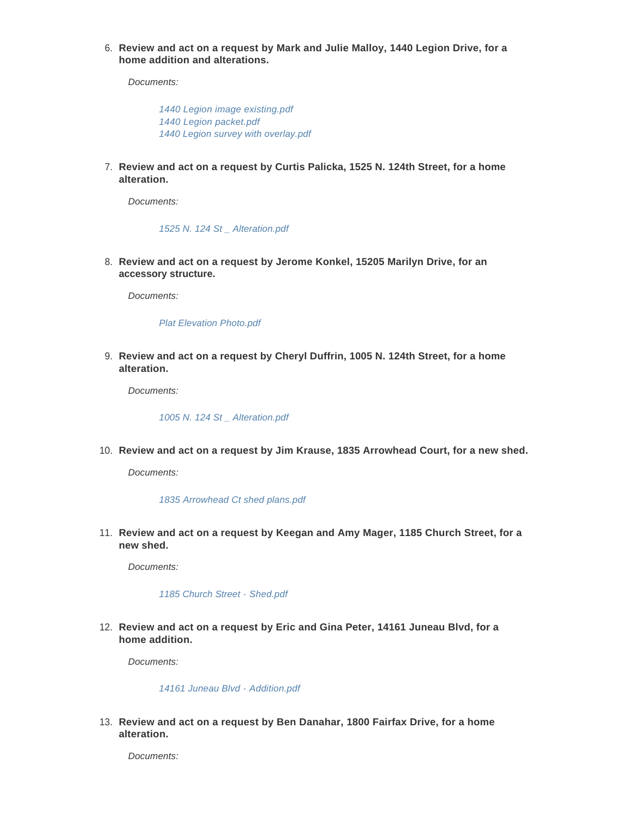**Review and act on a request by Mark and Julie Malloy, 1440 Legion Drive, for a**  6. **home addition and alterations.**

*Documents:*

*[1440 Legion image existing.pdf](https://elmgrovewi.org/AgendaCenter/ViewFile/Item/11995?fileID=19228) [1440 Legion packet.pdf](https://elmgrovewi.org/AgendaCenter/ViewFile/Item/11995?fileID=19229) [1440 Legion survey with overlay.pdf](https://elmgrovewi.org/AgendaCenter/ViewFile/Item/11995?fileID=19230)*

**Review and act on a request by Curtis Palicka, 1525 N. 124th Street, for a home**  7. **alteration.** 

*Documents:*

*[1525 N. 124 St \\_ Alteration.pdf](https://elmgrovewi.org/AgendaCenter/ViewFile/Item/11996?fileID=19231)*

**Review and act on a request by Jerome Konkel, 15205 Marilyn Drive, for an**  8. **accessory structure.** 

*Documents:*

*[Plat Elevation Photo.pdf](https://elmgrovewi.org/AgendaCenter/ViewFile/Item/11997?fileID=19232)*

**Review and act on a request by Cheryl Duffrin, 1005 N. 124th Street, for a home**  9. **alteration.** 

*Documents:*

*[1005 N. 124 St \\_ Alteration.pdf](https://elmgrovewi.org/AgendaCenter/ViewFile/Item/11998?fileID=19233)*

**Review and act on a request by Jim Krause, 1835 Arrowhead Court, for a new shed.**  10.

*Documents:*

#### *[1835 Arrowhead Ct shed plans.pdf](https://elmgrovewi.org/AgendaCenter/ViewFile/Item/11999?fileID=19234)*

**Review and act on a request by Keegan and Amy Mager, 1185 Church Street, for a**  11. **new shed.** 

*Documents:*

*[1185 Church Street - Shed.pdf](https://elmgrovewi.org/AgendaCenter/ViewFile/Item/12000?fileID=19235)*

**Review and act on a request by Eric and Gina Peter, 14161 Juneau Blvd, for a**  12. **home addition.** 

*Documents:*

*[14161 Juneau Blvd - Addition.pdf](https://elmgrovewi.org/AgendaCenter/ViewFile/Item/12001?fileID=19236)*

**Review and act on a request by Ben Danahar, 1800 Fairfax Drive, for a home**  13. **alteration.** 

*Documents:*